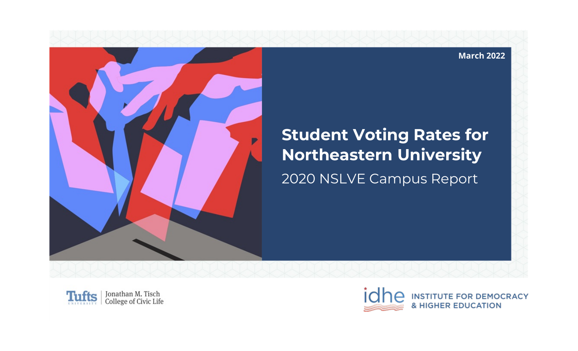

# **Student Voting Rates for Northeastern University**

2020 NSLVE Campus Report





**March 2022**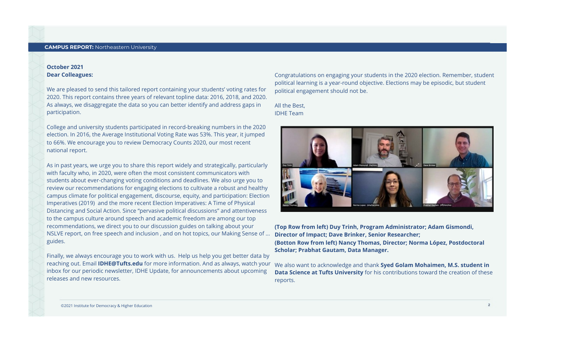#### October 2021 **Dear Colleagues:**

We are pleased to send this tailored report containing your students' voting rates for 2020. This report contains three years of relevant topline data: 2016, 2018, and 2020. As always, we disaggregate the data so you can better identify and address gaps in participation.

College and university students participated in record-breaking numbers in the 2020 election. In 2016, the Average Institutional Voting Rate was 53%. This year, it jumped to 66%. We encourage you to review Democracy Counts 2020, our most recent national report.

As in past years, we urge you to share this report widely and strategically, particularly with faculty who, in 2020, were often the most consistent communicators with students about ever-changing voting conditions and deadlines. We also urge you to review our recommendations for engaging elections to cultivate a robust and healthy campus climate for political engagement, discourse, equity, and participation: Election Imperatives (2019) and the more recent Election Imperatives: A Time of Physical Distancing and Social Action. Since "pervasive political discussions" and attentiveness to the campus culture around speech and academic freedom are among our top recommendations, we direct you to our discussion guides on talking about your NSLVE report, on free speech and inclusion, and on hot topics, our Making Sense of ... guides.

Finally, we always encourage you to work with us. Help us help you get better data by reaching out. Email **IDHE@Tufts.edu** for more information. And as always, watch your inbox for our periodic newsletter, IDHE Update, for announcements about upcoming releases and new resources.

Congratulations on engaging your students in the 2020 election. Remember, student political learning is a year-round objective. Elections may be episodic, but student political engagement should not be.

All the Best. IDHETeam



(Top Row from left) Duy Trinh, Program Administrator; Adam Gismondi, Director of Impact; Dave Brinker, Senior Researcher; (Botton Row from left) Nancy Thomas, Director; Norma López, Postdoctoral Scholar; Prabhat Gautam, Data Manager.

We also want to acknowledge and thank Syed Golam Mohaimen, M.S. student in Data Science at Tufts University for his contributions toward the creation of these reports.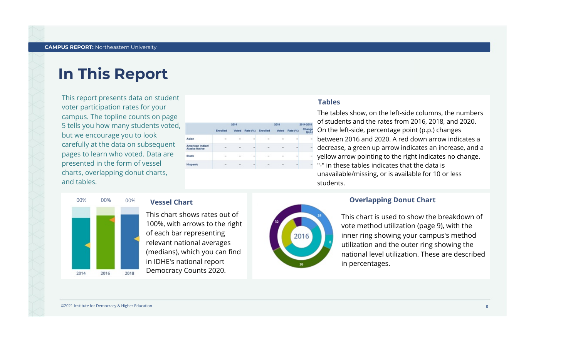### **In This Report**

This report presents data on student voter participation rates for your campus. The topline counts on page 5 tells you how many students voted but we encourage you to look carefully at the data on subsequent pages to learn who voted. Data are presented in the form of vessel charts, overlapping donut charts, and tables.

|                                   |                          | 2014   |                |          | 2018   |                          | 2014-2018                |
|-----------------------------------|--------------------------|--------|----------------|----------|--------|--------------------------|--------------------------|
|                                   | Enrolled                 |        | Voted Rate (%) | Enrolled |        | Voted Rate (%)           | Change<br>(p.p.)         |
| Asian                             | $\sim$                   | $\sim$ |                | $\sim$   |        | $\sim$                   |                          |
| American Indian/<br>Alaska Native | $\sim$                   | $\sim$ | $\equiv$       | $\sim$   | $\sim$ | $\blacksquare$           | $\equiv$                 |
| Black                             | $\overline{\phantom{a}}$ | $\sim$ | $\equiv$       | $\sim$   |        | $\overline{\phantom{a}}$ | $\overline{\phantom{a}}$ |
| Hispanic                          | $\sim$                   |        |                |          |        |                          |                          |

#### Tables

The tables show, on the left-side columns, the numbers of students and the rates from 2016, 2018, and 2020. On the left-side, percentage point (p.p.) changes between 2016 and 2020. A red down arrow indicates a decrease, a green up arrow indicates an increase, and a yellow arrow pointing to the right indicates no change. "-" in these tables indicates that the data is unavailable/missing, or is available for 10 or less students.

#### **Overlapping Donut Chart**

This chart is used to show the breakdown of vote method utilization (page 9), with the inner ring showing your campus's method utilization and the outer ring showing the national level utilization. These are described in percentages.



#### 00% 00% 00% **Vessel Chart**

This chart shows rates out of 100%, with arrows to the right of each bar representing relevant national averages (medians), which you can find in IDHE's national report Democracy Counts 2020.

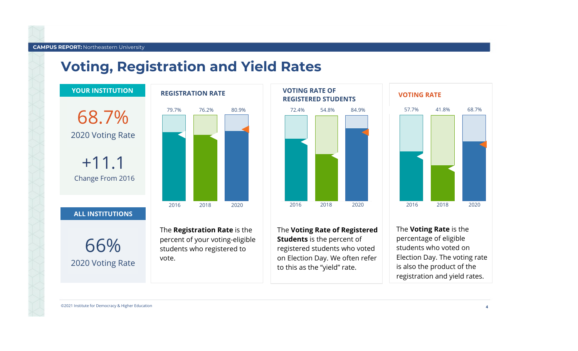#### **Voting, Registration and Yield Rates**





The Voting Rate of Registered **Students** is the percent of registered students who voted on Election Day. We often refer to this as the "yield" rate.

The **Voting Rate** is the percentage of eligible students who voted on Election Day. The voting rate is also the product of the registration and yield rates.

2018

41.8%

68.7%

2020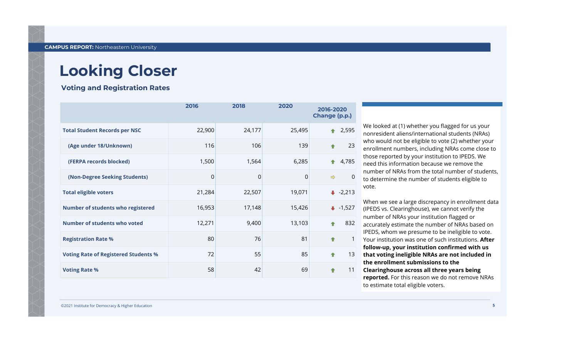**Voting and Registration Rates** 

|                                             | 2016   | 2018        | 2020   | 2016-2020<br>Change (p.p.) |                |
|---------------------------------------------|--------|-------------|--------|----------------------------|----------------|
| <b>Total Student Records per NSC</b>        | 22,900 | 24,177      | 25,495 |                            | 2,595          |
| (Age under 18/Unknown)                      | 116    | 106         | 139    | ↟                          | 23             |
| (FERPA records blocked)                     | 1,500  | 1,564       | 6,285  |                            | 4,785          |
| (Non-Degree Seeking Students)               | 0      | $\mathbf 0$ | 0      | $\Rightarrow$              | $\overline{0}$ |
| <b>Total eligible voters</b>                | 21,284 | 22,507      | 19,071 |                            | $-2,213$       |
| Number of students who registered           | 16,953 | 17,148      | 15,426 |                            | $+ -1,527$     |
| Number of students who voted                | 12,271 | 9,400       | 13,103 | ٠                          | 832            |
| <b>Registration Rate %</b>                  | 80     | 76          | 81     | ٠                          | 1              |
| <b>Voting Rate of Registered Students %</b> | 72     | 55          | 85     | ٠                          | 13             |
| <b>Voting Rate %</b>                        | 58     | 42          | 69     |                            | 11             |

We looked at (1) whether you flagged for us your nonresident aliens/international students (NRAs) who would not be eligible to vote (2) whether your enrollment numbers, including NRAs come close to those reported by your institution to IPEDS. We need this information because we remove the number of NRAs from the total number of students, to determine the number of students eligible to vote.

When we see a large discrepancy in enrollment data (IPEDS vs. Clearinghouse), we cannot verify the number of NRAs your institution flagged or accurately estimate the number of NRAs based on IPEDS, whom we presume to be ineligible to vote. Your institution was one of such institutions. After follow-up, your institution confirmed with us that voting ineligible NRAs are not included in the enrollment submissions to the Clearinghouse across all three years being reported. For this reason we do not remove NRAs

to estimate total eligible voters.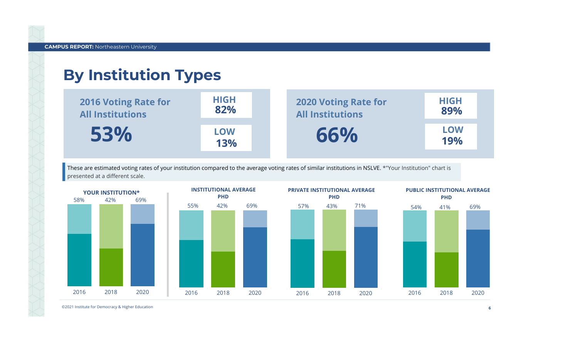### **By Institution Types**



These are estimated voting rates of your institution compared to the average voting rates of similar institutions in NSLVE. \*"Your Institution" chart is presented at a different scale.



©2021 Institute for Democracy & Higher Education

19% LOW

89% HIGH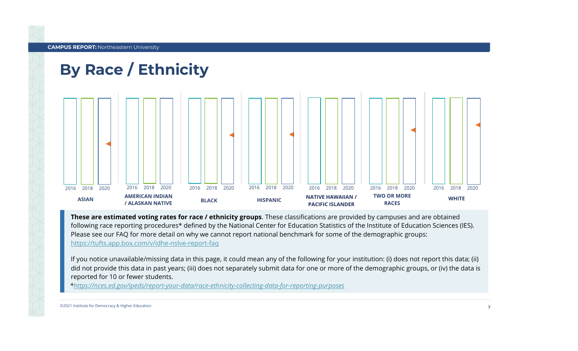## By Race / Ethnicity



These are estimated voting rates for race / ethnicity groups. These classifications are provided by campuses and are obtained following race reporting procedures\* defined by the National Center for Education Statistics of the Institute of Education Sciences (IES). Please see our FAQ for more detail on why we cannot report national benchmark for some of the demographic groups: https://tufts.app.box.com/v/idhe-nslve-report-faq

If you notice unavailable/missing data in this page, it could mean any of the following for your institution: (i) does not report this data; (ii) did not provide this data in past years; (iii) does not separately submit data for one or more of the demographic groups, or (iv) the data is reported for 10 or fewer students.

\*https://nces.ed.gov/ipeds/report-your-data/race-ethnicity-collecting-data-for-reporting-purposes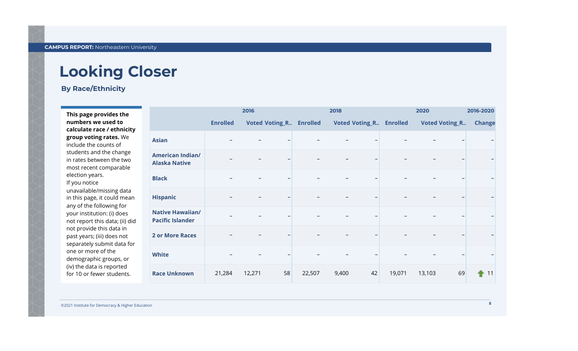#### **By Race/Ethnicity**

This page provides the numbers we used to calculate race / ethnicity group voting rates. We include the counts of students and the change in rates between the two most recent comparable election years. If you notice unavailable/missing data in this page, it could mean any of the following for your institution: (i) does not report this data; (ii) did not provide this data in past years; (iii) does not separately submit data for one or more of the demographic groups, or (iv) the data is reported for 10 or fewer students.

|                                                    | 2016                                              |        |                                |        | 2018  |    |                       | 2020   |                          | 2016-2020 |  |  |
|----------------------------------------------------|---------------------------------------------------|--------|--------------------------------|--------|-------|----|-----------------------|--------|--------------------------|-----------|--|--|
|                                                    | <b>Enrolled</b><br><b>Voted Voting_R Enrolled</b> |        | <b>Voted Voting_R Enrolled</b> |        |       |    | <b>Voted Voting_R</b> |        | <b>Change</b>            |           |  |  |
| <b>Asian</b>                                       |                                                   |        |                                |        |       |    |                       |        | $\qquad \qquad -$        |           |  |  |
| <b>American Indian/</b><br><b>Alaska Native</b>    | $\overline{\phantom{m}}$                          |        |                                |        |       | -  |                       |        | $\overline{\phantom{m}}$ |           |  |  |
| <b>Black</b>                                       |                                                   |        |                                |        |       | -  |                       |        | $\overline{\phantom{m}}$ |           |  |  |
| <b>Hispanic</b>                                    |                                                   |        |                                |        |       |    |                       |        | $\qquad \qquad -$        |           |  |  |
| <b>Native Hawaiian/</b><br><b>Pacific Islander</b> |                                                   |        |                                |        |       |    |                       |        | $\qquad \qquad -$        |           |  |  |
| <b>2 or More Races</b>                             |                                                   |        |                                |        |       |    |                       |        | $\qquad \qquad -$        |           |  |  |
| <b>White</b>                                       |                                                   |        |                                |        |       |    |                       |        | $\qquad \qquad$          |           |  |  |
| <b>Race Unknown</b>                                | 21,284                                            | 12,271 | 58                             | 22,507 | 9,400 | 42 | 19,071                | 13,103 | 69                       | 11        |  |  |

©2021 Institute for Democracy & Higher Education

8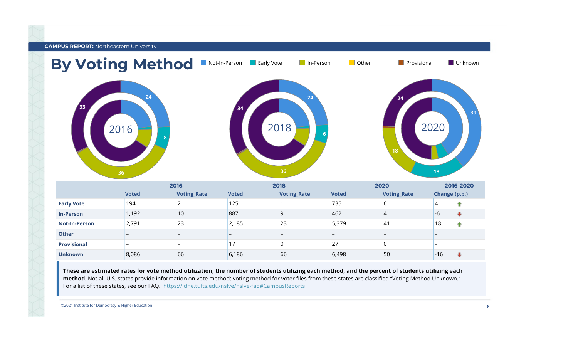

These are estimated rates for vote method utilization, the number of students utilizing each method, and the percent of students utilizing each method. Not all U.S. states provide information on vote method; voting method for voter files from these states are classified "Voting Method Unknown." For a list of these states, see our FAQ. https://idhe.tufts.edu/nslve/nslve-faq#CampusReports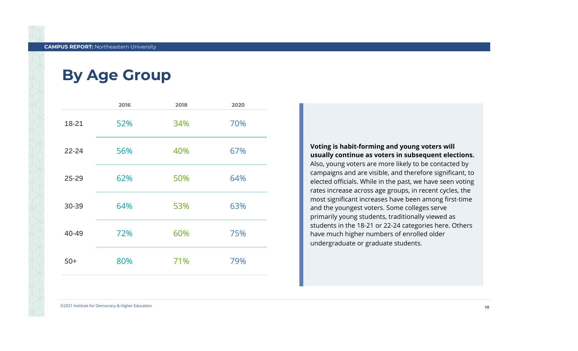#### **By Age Group**

|           | 2016 | 2018 | 2020 |
|-----------|------|------|------|
| 18-21     | 52%  | 34%  | 70%  |
| $22 - 24$ | 56%  | 40%  | 67%  |
| 25-29     | 62%  | 50%  | 64%  |
| 30-39     | 64%  | 53%  | 63%  |
| 40-49     | 72%  | 60%  | 75%  |
| $50+$     | 80%  | 71%  | 79%  |

Voting is habit-forming and young voters will usually continue as voters in subsequent elections. Also, young voters are more likely to be contacted by campaigns and are visible, and therefore significant, to elected officials. While in the past, we have seen voting rates increase across age groups, in recent cycles, the most significant increases have been among first-time and the youngest voters. Some colleges serve primarily young students, traditionally viewed as students in the 18-21 or 22-24 categories here. Others have much higher numbers of enrolled older undergraduate or graduate students.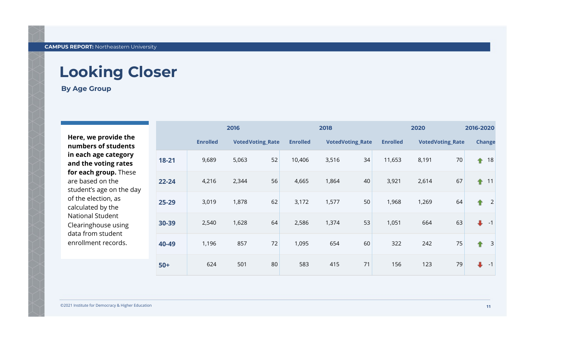**By Age Group** 

Here, we provide the numbers of students in each age category and the voting rates for each group. These are based on the student's age on the day of the election, as calculated by the **National Student** Clearinghouse using data from student enrollment records.

|           | 2016            |                         |    |                 | 2018                    |    |                 |                         | 2016-2020 |                              |  |
|-----------|-----------------|-------------------------|----|-----------------|-------------------------|----|-----------------|-------------------------|-----------|------------------------------|--|
|           | <b>Enrolled</b> | <b>VotedVoting_Rate</b> |    | <b>Enrolled</b> | <b>VotedVoting_Rate</b> |    | <b>Enrolled</b> | <b>VotedVoting_Rate</b> |           | <b>Change</b>                |  |
| 18-21     | 9,689           | 5,063                   | 52 | 10,406          | 3,516                   | 34 | 11,653          | 8,191                   | 70        | 18<br>↟                      |  |
| $22 - 24$ | 4,216           | 2,344                   | 56 | 4,665           | 1,864                   | 40 | 3,921           | 2,614                   | 67        | ↟<br>11                      |  |
| 25-29     | 3,019           | 1,878                   | 62 | 3,172           | 1,577                   | 50 | 1,968           | 1,269                   | 64        | $\overline{2}$<br>♠          |  |
| 30-39     | 2,540           | 1,628                   | 64 | 2,586           | 1,374                   | 53 | 1,051           | 664                     | 63        | $\ddot{\phantom{1}}$<br>$-1$ |  |
| 40-49     | 1,196           | 857                     | 72 | 1,095           | 654                     | 60 | 322             | 242                     | 75        | $\mathbf{3}$<br>↟            |  |
| $50+$     | 624             | 501                     | 80 | 583             | 415                     | 71 | 156             | 123                     | 79        | $\ddot{\phantom{1}}$<br>$-1$ |  |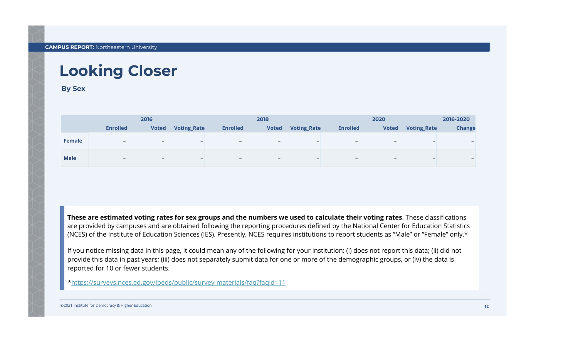**By Sex** 

|             | 2016                     |                          |                          |                          | 2018                     |                          |                          | 2016-2020                |                          |               |
|-------------|--------------------------|--------------------------|--------------------------|--------------------------|--------------------------|--------------------------|--------------------------|--------------------------|--------------------------|---------------|
|             | <b>Enrolled</b>          | <b>Voted</b>             | <b>Voting_Rate</b>       | <b>Enrolled</b>          | <b>Voted</b>             | <b>Voting_Rate</b>       | <b>Enrolled</b>          | <b>Voted</b>             | <b>Voting_Rate</b>       | <b>Change</b> |
| Female      | $\overline{\phantom{0}}$ | $\overline{\phantom{0}}$ | $\overline{\phantom{0}}$ | $\overline{\phantom{0}}$ | $\overline{\phantom{0}}$ | $\overline{\phantom{0}}$ | $\overline{\phantom{0}}$ | $\overline{\phantom{0}}$ | $\overline{\phantom{0}}$ |               |
| <b>Male</b> | $\overline{\phantom{0}}$ | $\overline{\phantom{0}}$ | -                        |                          |                          |                          |                          |                          | $\overline{\phantom{0}}$ |               |

These are estimated voting rates for sex groups and the numbers we used to calculate their voting rates. These classifications are provided by campuses and are obtained following the reporting procedures defined by the National Center for Education Statistics (NCES) of the Institute of Education Sciences (IES). Presently, NCES requires institutions to report students as "Male" or "Female" only.\*

If you notice missing data in this page, it could mean any of the following for your institution: (i) does not report this data; (ii) did not provide this data in past years; (iii) does not separately submit data for one or more of the demographic groups, or (iv) the data is reported for 10 or fewer students.

\*https://surveys.nces.ed.gov/ipeds/public/survey-materials/faq?faqid=11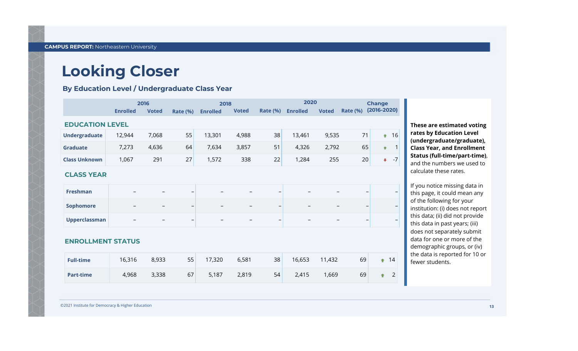By Education Level / Undergraduate Class Year

|                          | 2016            |              |                          | 2018            |              |                          | 2020            |              |                 |                      | <b>Change</b>     |  |  |
|--------------------------|-----------------|--------------|--------------------------|-----------------|--------------|--------------------------|-----------------|--------------|-----------------|----------------------|-------------------|--|--|
|                          | <b>Enrolled</b> | <b>Voted</b> | <b>Rate (%)</b>          | <b>Enrolled</b> | <b>Voted</b> | <b>Rate (%)</b>          | <b>Enrolled</b> | <b>Voted</b> | <b>Rate (%)</b> | $(2016 - 2020)$      |                   |  |  |
| <b>EDUCATION LEVEL</b>   |                 |              |                          |                 |              |                          |                 |              |                 |                      |                   |  |  |
| <b>Undergraduate</b>     | 12,944          | 7,068        | 55                       | 13,301          | 4,988        | 38                       | 13,461          | 9,535        | 71              | ٠                    | 16                |  |  |
| <b>Graduate</b>          | 7,273           | 4,636        | 64                       | 7,634           | 3,857        | 51                       | 4,326           | 2,792        | 65              | ٠                    |                   |  |  |
| <b>Class Unknown</b>     | 1,067           | 291          | 27                       | 1,572           | 338          | 22                       | 1,284           | 255          | 20              | $\ddot{\phantom{1}}$ | $-7$              |  |  |
| <b>CLASS YEAR</b>        |                 |              |                          |                 |              |                          |                 |              |                 |                      |                   |  |  |
| <b>Freshman</b>          |                 |              | $\qquad \qquad -$        |                 |              | $\overline{\phantom{0}}$ |                 |              |                 |                      | $\qquad \qquad -$ |  |  |
| <b>Sophomore</b>         |                 |              | $\overline{\phantom{0}}$ |                 |              |                          |                 |              |                 |                      |                   |  |  |
| <b>Upperclassman</b>     |                 |              | $\qquad \qquad -$        |                 |              | $\overline{\phantom{0}}$ |                 |              |                 |                      |                   |  |  |
| <b>ENROLLMENT STATUS</b> |                 |              |                          |                 |              |                          |                 |              |                 |                      |                   |  |  |
| <b>Full-time</b>         | 16,316          | 8,933        | 55                       | 17,320          | 6,581        | 38                       | 16,653          | 11,432       | 69              | $\ddot{\phantom{1}}$ | 14                |  |  |
| <b>Part-time</b>         | 4,968           | 3,338        | 67                       | 5,187           | 2,819        | 54                       | 2,415           | 1,669        | 69              | ÷                    | $\overline{2}$    |  |  |

These are estimated voting rates by Education Level (undergraduate/graduate), **Class Year, and Enrollment** Status(full-time/part-time), and the numbers we used to calculate these rates.

If you notice missing data in this page, it could mean any of the following for your institution: (i) does not report this data; (ii) did not provide this data in past years; (iii) does not separately submit data for one or more of the demographic groups, or (iv) the data is reported for 10 or fewer students.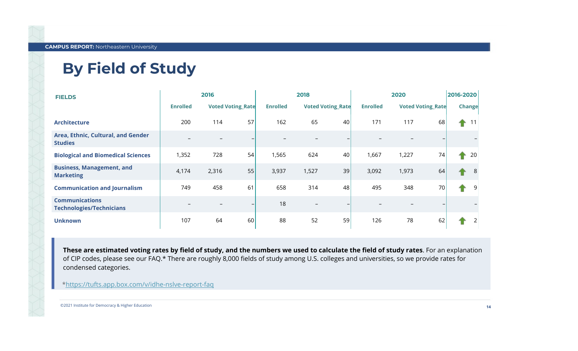### **By Field of Study**

| <b>FIELDS</b>                                            | 2016            |       |                          | 2018            |                          |    | 2020            |       |                          | 2016-2020 |        |
|----------------------------------------------------------|-----------------|-------|--------------------------|-----------------|--------------------------|----|-----------------|-------|--------------------------|-----------|--------|
|                                                          | <b>Enrolled</b> |       | <b>Voted Voting_Rate</b> | <b>Enrolled</b> | <b>Voted Voting Rate</b> |    | <b>Enrolled</b> |       | <b>Voted Voting Rate</b> |           | Change |
| <b>Architecture</b>                                      | 200             | 114   | 57                       | 162             | 65                       | 40 | 171             | 117   | 68                       | ♠         | 11     |
| Area, Ethnic, Cultural, and Gender<br><b>Studies</b>     |                 |       |                          |                 |                          |    |                 |       |                          |           |        |
| <b>Biological and Biomedical Sciences</b>                | 1,352           | 728   | 54                       | 1,565           | 624                      | 40 | 1,667           | 1,227 | 74                       | ♠         | 20     |
| <b>Business, Management, and</b><br><b>Marketing</b>     | 4,174           | 2,316 | 55                       | 3,937           | 1,527                    | 39 | 3,092           | 1,973 | 64                       |           | 8      |
| <b>Communication and Journalism</b>                      | 749             | 458   | 61                       | 658             | 314                      | 48 | 495             | 348   | 70                       | ♠         | 9      |
| <b>Communications</b><br><b>Technologies/Technicians</b> |                 |       | —                        | 18              |                          |    |                 |       |                          |           |        |
| <b>Unknown</b>                                           | 107             | 64    | 60                       | 88              | 52                       | 59 | 126             | 78    | 62                       |           |        |

These are estimated voting rates by field of study, and the numbers we used to calculate the field of study rates. For an explanation of CIP codes, please see our FAQ.\* There are roughly 8,000 fields of study among U.S. colleges and universities, so we provide rates for condensed categories.

\*https://tufts.app.box.com/v/idhe-nslve-report-faq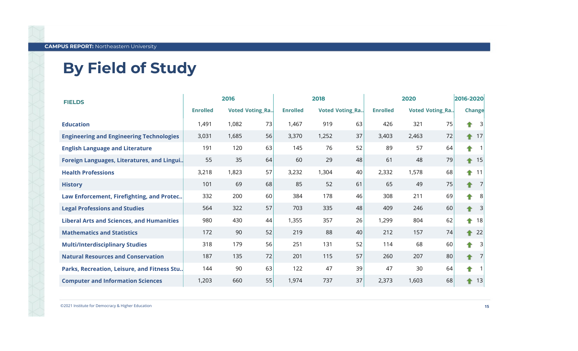# **By Field of Study**

| <b>FIELDS</b>                                    | 2016                                      |       |                 | 2018                   |       |                                           |       | 2016-2020 |        |    |    |
|--------------------------------------------------|-------------------------------------------|-------|-----------------|------------------------|-------|-------------------------------------------|-------|-----------|--------|----|----|
|                                                  | <b>Enrolled</b><br><b>Voted Voting_Ra</b> |       | <b>Enrolled</b> | <b>Voted Voting_Ra</b> |       | <b>Voted Voting_Ra</b><br><b>Enrolled</b> |       |           | Change |    |    |
| <b>Education</b>                                 | 1,491                                     | 1,082 | 73              | 919<br>1,467           |       | 63                                        | 426   | 321       | 75     |    |    |
| <b>Engineering and Engineering Technologies</b>  | 56<br>1,685<br>3,031                      |       | 3,370           | 1,252                  | 37    | 3,403                                     | 2,463 | 72        | ↟      | 17 |    |
| <b>English Language and Literature</b>           | 191                                       | 120   | 63              | 145                    | 76    | 52                                        | 89    | 57        | 64     | ♠  |    |
| Foreign Languages, Literatures, and Lingui       | 55                                        | 35    | 64              | 60                     | 29    | 48                                        | 61    | 48        | 79     | ٠  | 15 |
| <b>Health Professions</b>                        | 3,218                                     | 1,823 | 57              | 3,232                  | 1,304 | 40                                        | 2,332 | 1,578     | 68     | ♠  | 11 |
| <b>History</b>                                   | 101                                       | 69    | 68              | 85                     | 52    | 61                                        | 65    | 49        | 75     | ↟  |    |
| Law Enforcement, Firefighting, and Protec        | 332                                       | 200   | 60              | 384                    | 178   | 46                                        | 308   | 211       | 69     |    |    |
| <b>Legal Professions and Studies</b>             | 564                                       | 322   | 57              | 703                    | 335   | 48                                        | 409   | 246       | 60     |    |    |
| <b>Liberal Arts and Sciences, and Humanities</b> | 980                                       | 430   | 44              | 1,355                  | 357   | 26                                        | 1,299 | 804       | 62     | ♠  | 18 |
| <b>Mathematics and Statistics</b>                | 172                                       | 90    | 52              | 219                    | 88    | 40                                        | 212   | 157       | 74     | ♠  | 22 |
| <b>Multi/Interdisciplinary Studies</b>           | 318                                       | 179   | 56              | 251                    | 131   | 52                                        | 114   | 68        | 60     |    |    |
| <b>Natural Resources and Conservation</b>        | 187                                       | 135   | 72              | 201                    | 115   | 57                                        | 260   | 207       | 80     | ↟  |    |
| Parks, Recreation, Leisure, and Fitness Stu      | 144                                       | 90    | 63              | 122                    | 47    | 39                                        | 47    | 30        | 64     |    |    |
| <b>Computer and Information Sciences</b>         | 1,203                                     | 660   | 55              | 1,974                  | 737   | 37                                        | 2,373 | 1,603     | 68     |    | 13 |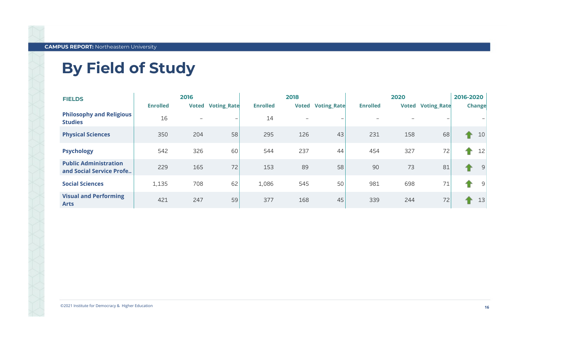# **By Field of Study**

| <b>FIELDS</b>                                            |                 | 2016                     |                    |                 | 2018         |                    |                 | 2016-2020    |                    |               |    |
|----------------------------------------------------------|-----------------|--------------------------|--------------------|-----------------|--------------|--------------------|-----------------|--------------|--------------------|---------------|----|
|                                                          | <b>Enrolled</b> | <b>Voted</b>             | <b>Voting_Rate</b> | <b>Enrolled</b> | <b>Voted</b> | <b>Voting_Rate</b> | <b>Enrolled</b> | <b>Voted</b> | <b>Voting_Rate</b> | <b>Change</b> |    |
| <b>Philosophy and Religious</b><br><b>Studies</b>        | 16              | $\overline{\phantom{0}}$ |                    | 14              |              |                    |                 |              |                    |               |    |
| <b>Physical Sciences</b>                                 | 350             | 204                      | 58                 | 295             | 126          | 43                 | 231             | 158          | 68                 | ♠             | 10 |
| <b>Psychology</b>                                        | 542             | 326                      | 60                 | 544             | 237          | 44                 | 454             | 327          | 72                 | ۰             | 12 |
| <b>Public Administration</b><br>and Social Service Profe | 229             | 165                      | 72                 | 153             | 89           | 58                 | 90              | 73           | 81                 |               | 9  |
| <b>Social Sciences</b>                                   | 1,135           | 708                      | 62                 | 1,086           | 545          | 50                 | 981             | 698          | 71                 | ۰             | 9  |
| <b>Visual and Performing</b><br><b>Arts</b>              | 421             | 247                      | 59                 | 377             | 168          | 45                 | 339             | 244          | 72                 |               | 13 |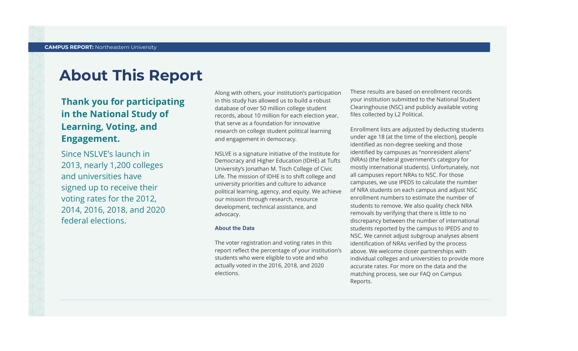### **About This Report**

#### Thank you for participating in the National Study of Learning, Voting, and Engagement.

Since NSLVE's launch in 2013, nearly 1,200 colleges and universities have signed up to receive their voting rates for the 2012, 2014,2016,2018,and2020 federal elections.

Along with others, your institution's participation in this study has allowed us to build a robust database of over 50 million college student records, about 10 million for each election year, that serve as a foundation for innovative research on college student political learning and engagement in democracy.

NSLVE is a signature initiative of the Institute for Democracy and Higher Education (IDHE) at Tufts University's Jonathan M. Tisch College of Civic Life. The mission of IDHE is to shift college and university priorities and culture to advance political learning, agency, and equity. We achieve our mission through research, resource development, technical assistance, and advocacy.

#### **About the Data**

The voter registration and voting rates in this report reflect the percentage of your institution's students who were eligible to vote and who actually voted in the 2016, 2018, and 2020 elections.

These results are based on enrollment records your institution submitted to the National Student Clearinghouse (NSC) and publicly available voting files collected by L2 Political.

Enrollment lists are adjusted by deducting students under age 18 (at the time of the election), people identified as non-degree seeking and those identified by campuses as "nonresident aliens" (NRAs) (the federal government's category for mostly international students). Unfortunately, not all campuses report NRAs to NSC. For those campuses, we use IPEDS to calculate the number of NRA students on each campus and adjust NSC enrollment numbers to estimate the number of students to remove. We also quality check NRA removals by verifying that there is little to no discrepancy between the number of international students reported by the campus to IPEDS and to NSC. We cannot adjust subgroup analyses absent identification of NRAs verified by the process above. We welcome closer partnerships with individual colleges and universities to provide more accurate rates. For more on the data and the matching process, see our FAQ on Campus Reports.